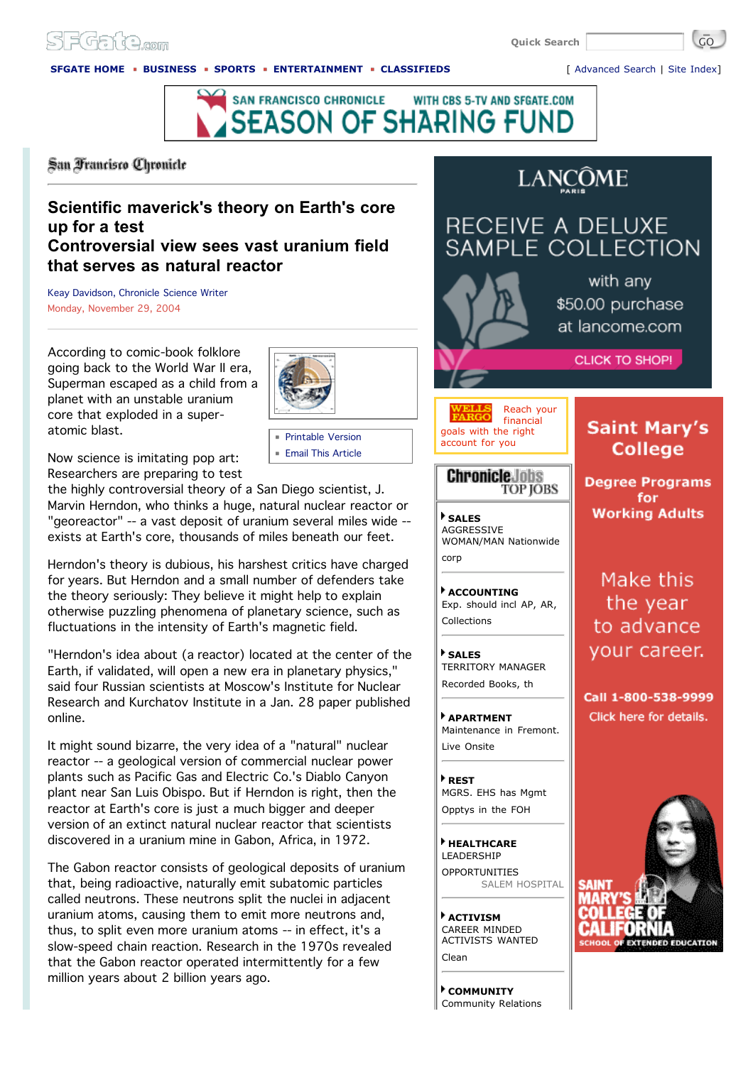# SEGate

**Quick Search** 

## **SFGATE HOME BUSINESS SPORTS ENTERTAINMENT CLASSIFIEDS** [ Advanced Search | Site Index]



San Francisco Chronicle

## **Scientific maverick's theory on Earth's core up for a test Controversial view sees vast uranium field that serves as natural reactor**

Keay Davidson, Chronicle Science Writer Monday, November 29, 2004

According to comic-book folklore going back to the World War II era, Superman escaped as a child from a planet with an unstable uranium core that exploded in a superatomic blast.



Printable Version **Email This Article** 

Now science is imitating pop art: Researchers are preparing to test

the highly controversial theory of a San Diego scientist, J. Marvin Herndon, who thinks a huge, natural nuclear reactor or "georeactor" -- a vast deposit of uranium several miles wide - exists at Earth's core, thousands of miles beneath our feet.

Herndon's theory is dubious, his harshest critics have charged for years. But Herndon and a small number of defenders take the theory seriously: They believe it might help to explain otherwise puzzling phenomena of planetary science, such as fluctuations in the intensity of Earth's magnetic field.

"Herndon's idea about (a reactor) located at the center of the Earth, if validated, will open a new era in planetary physics," said four Russian scientists at Moscow's Institute for Nuclear Research and Kurchatov Institute in a Jan. 28 paper published online.

It might sound bizarre, the very idea of a "natural" nuclear reactor -- a geological version of commercial nuclear power plants such as Pacific Gas and Electric Co.'s Diablo Canyon plant near San Luis Obispo. But if Herndon is right, then the reactor at Earth's core is just a much bigger and deeper version of an extinct natural nuclear reactor that scientists discovered in a uranium mine in Gabon, Africa, in 1972.

The Gabon reactor consists of geological deposits of uranium that, being radioactive, naturally emit subatomic particles called neutrons. These neutrons split the nuclei in adjacent uranium atoms, causing them to emit more neutrons and, thus, to split even more uranium atoms -- in effect, it's a slow-speed chain reaction. Research in the 1970s revealed that the Gabon reactor operated intermittently for a few million years about 2 billion years ago.

# **LANCÔME**

# RECEIVE A DELUXE SAMPLE COLLECTION



with any \$50.00 purchase at lancome.com

**CLICK TO SHOP!** 

#### Reach your financial goals with the right account for you

### **Chronicle Jobs TOP JOBS**

**SALES** AGGRESSIVE WOMAN/MAN Nationwide corp

**ACCOUNTING** Exp. should incl AP, AR, Collections

**SALES** TERRITORY MANAGER Recorded Books, th

**APARTMENT** Maintenance in Fremont. Live Onsite

**REST** MGRS. EHS has Mgmt Opptys in the FOH

**HEALTHCARE** LEADERSHIP OPPORTUNITIES SALEM HOSPITAL

**ACTIVISM** CAREER MINDED ACTIVISTS WANTED Clean

**COMMUNITY** Community Relations

# **Saint Mary's College**

**Degree Programs** for **Working Adults** 

Make this the year to advance your career.

Call 1-800-538-9999 Click here for details.



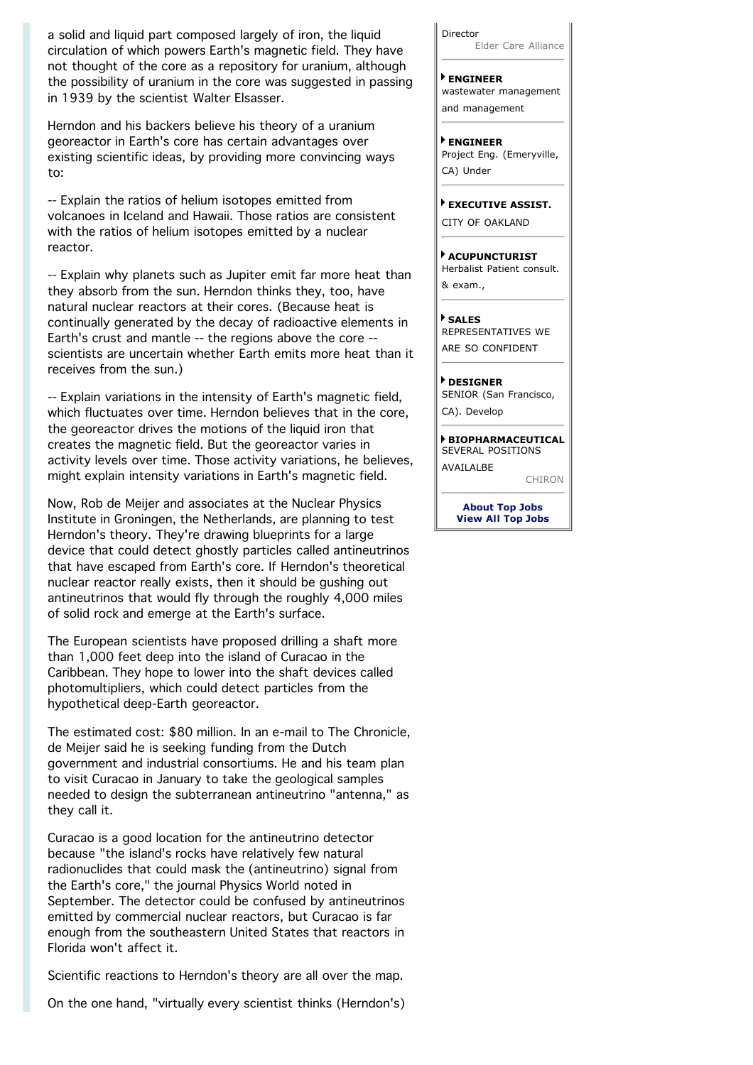a solid and liquid part composed largely of iron, the liquid circulation of which powers Earth's magnetic field. They have not thought of the core as a repository for uranium, although the possibility of uranium in the core was suggested in passing in 1939 by the scientist Walter Elsasser.

Herndon and his backers believe his theory of a uranium georeactor in Earth's core has certain advantages over existing scientific ideas, by providing more convincing ways to:

-- Explain the ratios of helium isotopes emitted from volcanoes in Iceland and Hawaii. Those ratios are consistent with the ratios of helium isotopes emitted by a nuclear reactor.

-- Explain why planets such as Jupiter emit far more heat than they absorb from the sun. Herndon thinks they, too, have natural nuclear reactors at their cores. (Because heat is continually generated by the decay of radioactive elements in Earth's crust and mantle -- the regions above the core - scientists are uncertain whether Earth emits more heat than it receives from the sun.)

-- Explain variations in the intensity of Earth's magnetic field, which fluctuates over time. Herndon believes that in the core, the georeactor drives the motions of the liquid iron that creates the magnetic field. But the georeactor varies in activity levels over time. Those activity variations, he believes, might explain intensity variations in Earth's magnetic field.

Now, Rob de Meijer and associates at the Nuclear Physics Institute in Groningen, the Netherlands, are planning to test Herndon's theory. They're drawing blueprints for a large device that could detect ghostly particles called antineutrinos that have escaped from Earth's core. If Herndon's theoretical nuclear reactor really exists, then it should be gushing out antineutrinos that would fly through the roughly 4,000 miles of solid rock and emerge at the Earth's surface.

The European scientists have proposed drilling a shaft more than 1,000 feet deep into the island of Curacao in the Caribbean. They hope to lower into the shaft devices called photomultipliers, which could detect particles from the hypothetical deep-Earth georeactor.

The estimated cost: \$80 million. In an e-mail to The Chronicle, de Meijer said he is seeking funding from the Dutch government and industrial consortiums. He and his team plan to visit Curacao in January to take the geological samples needed to design the subterranean antineutrino "antenna," as they call it.

Curacao is a good location for the antineutrino detector because "the island's rocks have relatively few natural radionuclides that could mask the (antineutrino) signal from the Earth's core," the journal Physics World noted in September. The detector could be confused by antineutrinos emitted by commercial nuclear reactors, but Curacao is far enough from the southeastern United States that reactors in Florida won't affect it.

Scientific reactions to Herndon's theory are all over the map.

On the one hand, "virtually every scientist thinks (Herndon's)

Director Elder Care Alliance

**ENGINEER** wastewater management and management

**ENGINEER** Project Eng. (Emeryville, CA) Under

**EXECUTIVE ASSIST.** CITY OF OAKLAND

**ACUPUNCTURIST** Herbalist Patient consult. & exam.,

**SALES** REPRESENTATIVES WE ARE SO CONFIDENT

**DESIGNER** SENIOR (San Francisco, CA). Develop

**BIOPHARMACEUTICAL** SEVERAL POSITIONS **AVAILALBE** CHIRON

> **About Top Jobs View All Top Jobs**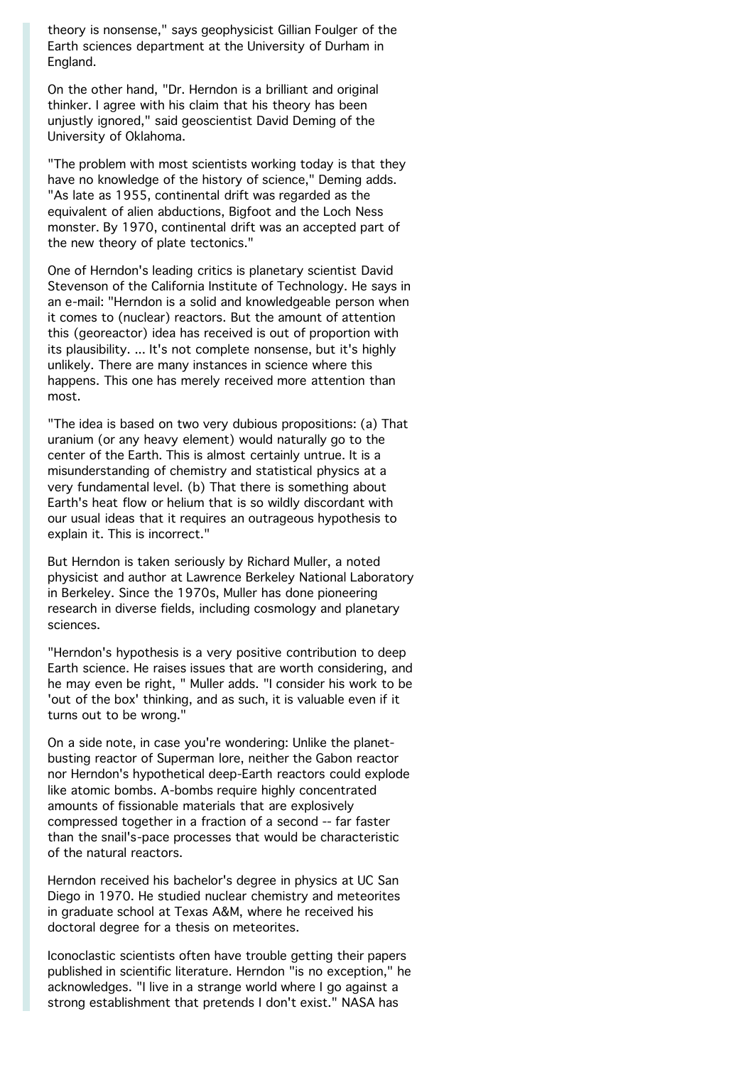theory is nonsense," says geophysicist Gillian Foulger of the Earth sciences department at the University of Durham in England.

On the other hand, "Dr. Herndon is a brilliant and original thinker. I agree with his claim that his theory has been unjustly ignored," said geoscientist David Deming of the University of Oklahoma.

"The problem with most scientists working today is that they have no knowledge of the history of science," Deming adds. "As late as 1955, continental drift was regarded as the equivalent of alien abductions, Bigfoot and the Loch Ness monster. By 1970, continental drift was an accepted part of the new theory of plate tectonics."

One of Herndon's leading critics is planetary scientist David Stevenson of the California Institute of Technology. He says in an e-mail: "Herndon is a solid and knowledgeable person when it comes to (nuclear) reactors. But the amount of attention this (georeactor) idea has received is out of proportion with its plausibility. ... It's not complete nonsense, but it's highly unlikely. There are many instances in science where this happens. This one has merely received more attention than most.

"The idea is based on two very dubious propositions: (a) That uranium (or any heavy element) would naturally go to the center of the Earth. This is almost certainly untrue. It is a misunderstanding of chemistry and statistical physics at a very fundamental level. (b) That there is something about Earth's heat flow or helium that is so wildly discordant with our usual ideas that it requires an outrageous hypothesis to explain it. This is incorrect."

But Herndon is taken seriously by Richard Muller, a noted physicist and author at Lawrence Berkeley National Laboratory in Berkeley. Since the 1970s, Muller has done pioneering research in diverse fields, including cosmology and planetary sciences.

"Herndon's hypothesis is a very positive contribution to deep Earth science. He raises issues that are worth considering, and he may even be right, " Muller adds. "I consider his work to be 'out of the box' thinking, and as such, it is valuable even if it turns out to be wrong."

On a side note, in case you're wondering: Unlike the planetbusting reactor of Superman lore, neither the Gabon reactor nor Herndon's hypothetical deep-Earth reactors could explode like atomic bombs. A-bombs require highly concentrated amounts of fissionable materials that are explosively compressed together in a fraction of a second -- far faster than the snail's-pace processes that would be characteristic of the natural reactors.

Herndon received his bachelor's degree in physics at UC San Diego in 1970. He studied nuclear chemistry and meteorites in graduate school at Texas A&M, where he received his doctoral degree for a thesis on meteorites.

Iconoclastic scientists often have trouble getting their papers published in scientific literature. Herndon "is no exception," he acknowledges. "I live in a strange world where I go against a strong establishment that pretends I don't exist." NASA has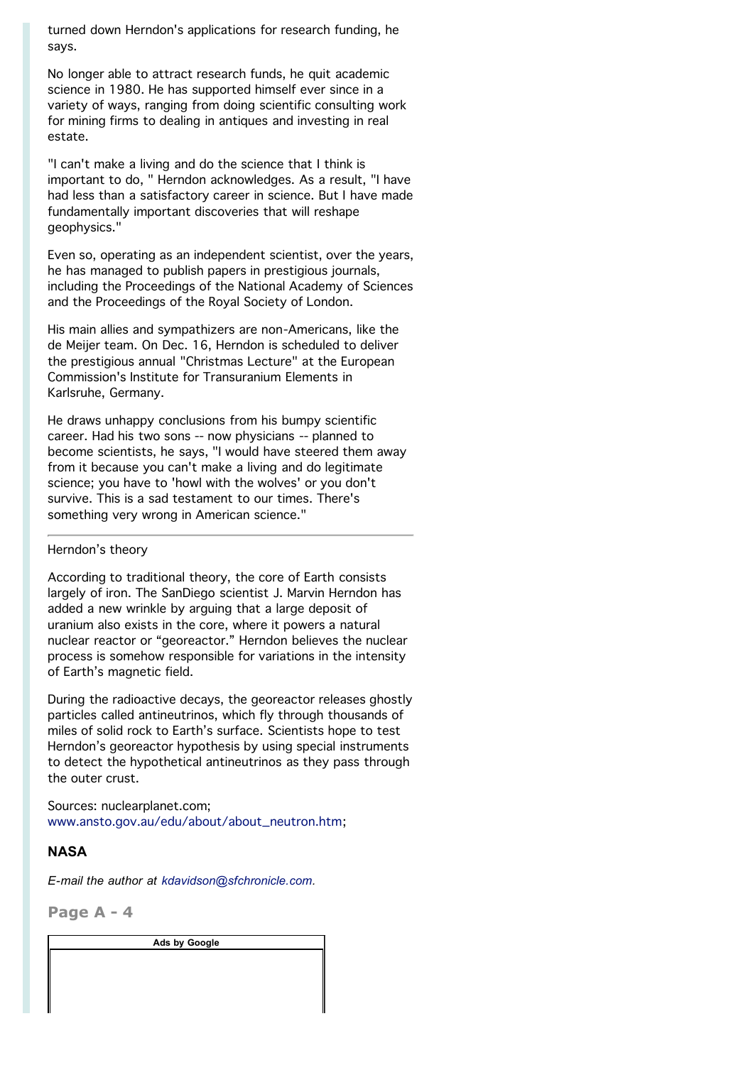turned down Herndon's applications for research funding, he says.

No longer able to attract research funds, he quit academic science in 1980. He has supported himself ever since in a variety of ways, ranging from doing scientific consulting work for mining firms to dealing in antiques and investing in real estate.

"I can't make a living and do the science that I think is important to do, " Herndon acknowledges. As a result, "I have had less than a satisfactory career in science. But I have made fundamentally important discoveries that will reshape geophysics."

Even so, operating as an independent scientist, over the years, he has managed to publish papers in prestigious journals, including the Proceedings of the National Academy of Sciences and the Proceedings of the Royal Society of London.

His main allies and sympathizers are non-Americans, like the de Meijer team. On Dec. 16, Herndon is scheduled to deliver the prestigious annual "Christmas Lecture" at the European Commission's Institute for Transuranium Elements in Karlsruhe, Germany.

He draws unhappy conclusions from his bumpy scientific career. Had his two sons -- now physicians -- planned to become scientists, he says, "I would have steered them away from it because you can't make a living and do legitimate science; you have to 'howl with the wolves' or you don't survive. This is a sad testament to our times. There's something very wrong in American science."

### Herndon's theory

According to traditional theory, the core of Earth consists largely of iron. The SanDiego scientist J. Marvin Herndon has added a new wrinkle by arguing that a large deposit of uranium also exists in the core, where it powers a natural nuclear reactor or "georeactor." Herndon believes the nuclear process is somehow responsible for variations in the intensity of Earth's magnetic field.

During the radioactive decays, the georeactor releases ghostly particles called antineutrinos, which fly through thousands of miles of solid rock to Earth's surface. Scientists hope to test Herndon's georeactor hypothesis by using special instruments to detect the hypothetical antineutrinos as they pass through the outer crust.

Sources: nuclearplanet.com; www.ansto.gov.au/edu/about/about\_neutron.htm;

### **NASA**

*E-mail the author at kdavidson@sfchronicle.com.*

**Page A - 4**

**Ads by Google**